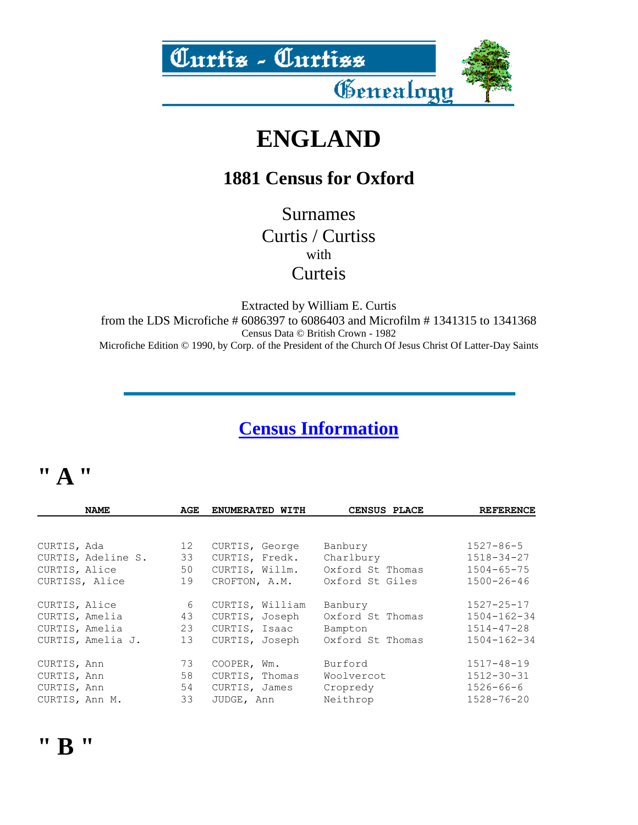

# **ENGLAND**

#### **1881 Census for Oxford**

Surnames Curtis / Curtiss with **Curteis** 

Extracted by William E. Curtis from the LDS Microfiche # 6086397 to 6086403 and Microfilm # 1341315 to 1341368 Census Data © British Crown - 1982 Microfiche Edition © 1990, by Corp. of the President of the Church Of Jesus Christ Of Latter-Day Saints

#### **Census Information**

#### **" A "**

| <b>NAME</b>        | AGE | ENUMERATED WITH | CENSUS PLACE     | <b>REFERENCE</b>  |
|--------------------|-----|-----------------|------------------|-------------------|
|                    |     |                 |                  |                   |
| CURTIS, Ada        | 12  | CURTIS, George  | Banbury          | $1527 - 86 - 5$   |
| CURTIS, Adeline S. | 33  | CURTIS, Fredk.  | Charlbury        | $1518 - 34 - 27$  |
| CURTIS, Alice      | 50  | CURTIS, Willm.  | Oxford St Thomas | $1504 - 65 - 75$  |
| CURTISS, Alice     | 19  | CROFTON, A.M.   | Oxford St Giles  | $1500 - 26 - 46$  |
|                    |     |                 |                  |                   |
| CURTIS, Alice      | 6   | CURTIS, William | Banbury          | $1527 - 25 - 17$  |
| CURTIS, Amelia     | 43  | CURTIS, Joseph  | Oxford St Thomas | $1504 - 162 - 34$ |
| CURTIS, Amelia     | 23  | CURTIS, Isaac   | Bampton          | $1514 - 47 - 28$  |
| CURTIS, Amelia J.  | 13  | CURTIS, Joseph  | Oxford St Thomas | $1504 - 162 - 34$ |
| CURTIS, Ann        | 73  | COOPER, Wm.     | Burford          | $1517 - 48 - 19$  |
| CURTIS, Ann        | 58  | CURTIS, Thomas  | Woolvercot       | $1512 - 30 - 31$  |
| CURTIS, Ann        | 54  | CURTIS, James   | Cropredy         | $1526 - 66 - 6$   |
| CURTIS, Ann M.     | 33  | JUDGE, Ann      | Neithrop         | $1528 - 76 - 20$  |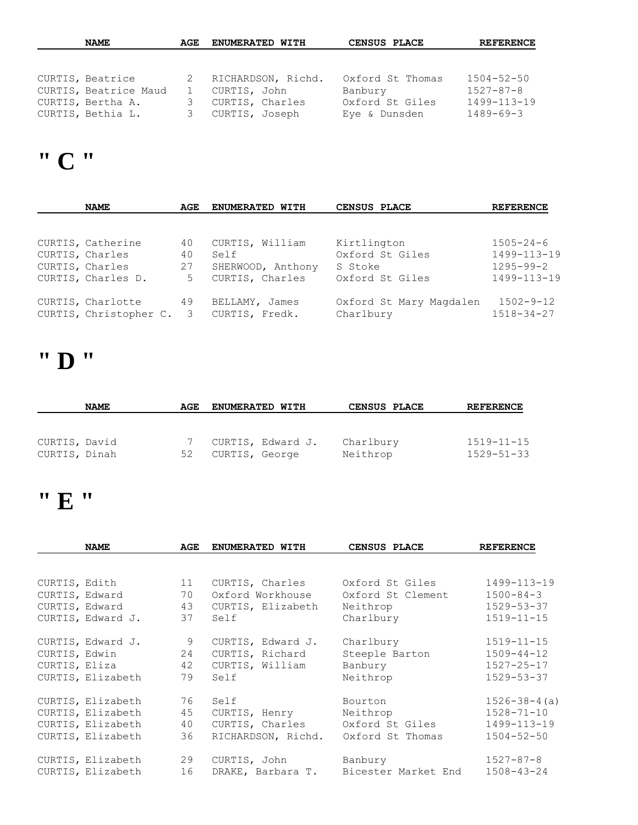| <b>NAME</b>           | AGE | ENUMERATED WITH      | CENSUS PLACE     | <b>REFERENCE</b>  |
|-----------------------|-----|----------------------|------------------|-------------------|
|                       |     |                      |                  |                   |
|                       |     |                      |                  |                   |
| CURTIS, Beatrice      |     | 2 RICHARDSON, Richd. | Oxford St Thomas | $1504 - 52 - 50$  |
| CURTIS, Beatrice Maud |     | CURTIS, John         | Banbury          | $1527 - 87 - 8$   |
| CURTIS, Bertha A.     | 3   | CURTIS, Charles      | Oxford St Giles  | $1499 - 113 - 19$ |
| CURTIS, Bethia L.     |     | 3 CURTIS, Joseph     | Eye & Dunsden    | $1489 - 69 - 3$   |

# **" C "**

| <b>NAME</b>                                   | AGE | ENUMERATED WITH                  | CENSUS PLACE                         | <b>REFERENCE</b>                    |
|-----------------------------------------------|-----|----------------------------------|--------------------------------------|-------------------------------------|
|                                               |     |                                  |                                      |                                     |
| CURTIS, Catherine                             | 40  | CURTIS, William                  | Kirtlington                          | $1505 - 24 - 6$                     |
| CURTIS, Charles                               | 40  | Self                             | Oxford St Giles                      | 1499-113-19                         |
| CURTIS, Charles                               | 27  | SHERWOOD, Anthony                | S Stoke                              | $1295 - 99 - 2$                     |
| CURTIS, Charles D.                            | 5   | CURTIS, Charles                  | Oxford St Giles                      | 1499-113-19                         |
| CURTIS, Charlotte<br>CURTIS, Christopher C. 3 | 49  | BELLAMY, James<br>CURTIS, Fredk. | Oxford St Mary Magdalen<br>Charlbury | $1502 - 9 - 12$<br>$1518 - 34 - 27$ |

# **" D "**

|               | <b>NAME</b> | AGE | <b>ENUMERATED WITH</b> | <b>CENSUS PLACE</b> | <b>REFERENCE</b> |
|---------------|-------------|-----|------------------------|---------------------|------------------|
|               |             |     |                        |                     |                  |
|               |             |     |                        |                     |                  |
| CURTIS, David |             |     | CURTIS, Edward J.      | Charlbury           | $1519 - 11 - 15$ |
| CURTIS, Dinah |             | 52  | CURTIS, George         | Neithrop            | $1529 - 51 - 33$ |
|               |             |     |                        |                     |                  |

## **" E "**

|                | <b>NAME</b>             | AGE | ENUMERATED WITH    | CENSUS PLACE                          | <b>REFERENCE</b>   |
|----------------|-------------------------|-----|--------------------|---------------------------------------|--------------------|
|                |                         |     |                    |                                       |                    |
| CURTIS, Edith  |                         | 11  | CURTIS, Charles    | Oxford St Giles                       | 1499-113-19        |
| CURTIS, Edward |                         | 70  | Oxford Workhouse   | Oxford St Clement                     | $1500 - 84 - 3$    |
| CURTIS, Edward |                         | 43  | CURTIS, Elizabeth  | Neithrop                              | $1529 - 53 - 37$   |
|                | CURTIS, Edward J.       | 37  | Self               | Charlbury                             | $1519 - 11 - 15$   |
|                | CURTIS, Edward J.       | 9   | CURTIS, Edward J.  | Charlbury                             | $1519 - 11 - 15$   |
| CURTIS, Edwin  |                         | 24  | CURTIS, Richard    | Steeple Barton                        | $1509 - 44 - 12$   |
|                | CURTIS, Eliza           | 42  | CURTIS, William    | Banbury                               | $1527 - 25 - 17$   |
|                | CURTIS, Elizabeth       | 79  | Self               | Neithrop                              | $1529 - 53 - 37$   |
|                | 76<br>CURTIS, Elizabeth |     | Self               | Bourton                               | $1526 - 38 - 4(a)$ |
|                | CURTIS, Elizabeth       | 45  | CURTIS, Henry      | Neithrop                              | $1528 - 71 - 10$   |
|                | CURTIS, Elizabeth       | 40  | CURTIS, Charles    | Oxford St Giles                       | 1499-113-19        |
|                | CURTIS, Elizabeth       | 36  | RICHARDSON, Richd. | Oxford St Thomas                      | $1504 - 52 - 50$   |
|                | 29<br>CURTIS, Elizabeth |     | CURTIS, John       | Banbury                               | $1527 - 87 - 8$    |
|                | CURTIS, Elizabeth       | 16  |                    | DRAKE, Barbara T. Bicester Market End | $1508 - 43 - 24$   |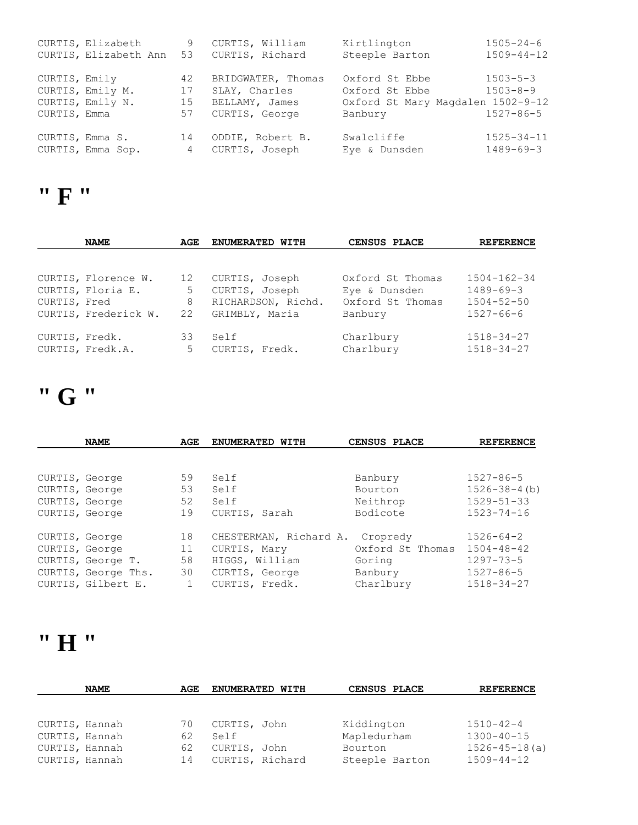|               | CURTIS, Elizabeth     | 9  | CURTIS, William    | Kirtlington                       | $1505 - 24 - 6$  |
|---------------|-----------------------|----|--------------------|-----------------------------------|------------------|
|               | CURTIS, Elizabeth Ann | 53 | CURTIS, Richard    | Steeple Barton                    | $1509 - 44 - 12$ |
| CURTIS, Emily |                       | 42 | BRIDGWATER, Thomas | Oxford St Ebbe                    | $1503 - 5 - 3$   |
|               | CURTIS, Emily M.      | 17 | SLAY, Charles      | Oxford St Ebbe                    | $1503 - 8 - 9$   |
|               | CURTIS, Emily N.      | 15 | BELLAMY, James     | Oxford St Mary Magdalen 1502-9-12 |                  |
| CURTIS, Emma  |                       | 57 | CURTIS, George     | Banbury                           | $1527 - 86 - 5$  |
|               | CURTIS, Emma S.       | 14 | ODDIE, Robert B.   | Swalcliffe                        | $1525 - 34 - 11$ |
|               | CURTIS, Emma Sop.     | 4  | CURTIS, Joseph     | Eye & Dunsden                     | $1489 - 69 - 3$  |

#### **" F "**

|                | <b>NAME</b>          | AGE     | ENUMERATED WITH        | CENSUS PLACE           | <b>REFERENCE</b>                     |
|----------------|----------------------|---------|------------------------|------------------------|--------------------------------------|
|                |                      |         |                        |                        |                                      |
|                | CURTIS, Florence W.  | 12      | CURTIS, Joseph         | Oxford St Thomas       | $1504 - 162 - 34$                    |
|                | CURTIS, Floria E.    | 5       | CURTIS, Joseph         | Eye & Dunsden          | $1489 - 69 - 3$                      |
| CURTIS, Fred   |                      | 8       | RICHARDSON, Richd.     | Oxford St Thomas       | $1504 - 52 - 50$                     |
|                | CURTIS, Frederick W. | 22      | GRIMBLY, Maria         | Banbury                | $1527 - 66 - 6$                      |
| CURTIS, Fredk. | CURTIS, Fredk.A.     | 33<br>5 | Self<br>CURTIS, Fredk. | Charlbury<br>Charlbury | $1518 - 34 - 27$<br>$1518 - 34 - 27$ |

## **" G "**

|                | <b>NAME</b>         | AGE          | ENUMERATED WITH        | <b>CENSUS PLACE</b> | <b>REFERENCE</b>    |
|----------------|---------------------|--------------|------------------------|---------------------|---------------------|
|                |                     |              |                        |                     |                     |
| CURTIS, George |                     | 59           | Self                   | Banbury             | $1527 - 86 - 5$     |
| CURTIS, George |                     | 53           | Self                   | Bourton             | $1526 - 38 - 4$ (b) |
| CURTIS, George |                     | 52           | Self                   | Neithrop            | $1529 - 51 - 33$    |
| CURTIS, George |                     | 19           | CURTIS, Sarah          | Bodicote            | $1523 - 74 - 16$    |
| CURTIS, George |                     | 18           | CHESTERMAN, Richard A. | Cropredy            | $1526 - 64 - 2$     |
| CURTIS, George |                     | 11           | CURTIS, Mary           | Oxford St Thomas    | $1504 - 48 - 42$    |
|                | CURTIS, George T.   | 58           | HIGGS, William         | Goring              | $1297 - 73 - 5$     |
|                | CURTIS, George Ths. | 30           | CURTIS, George         | Banbury             | $1527 - 86 - 5$     |
|                | CURTIS, Gilbert E.  | $\mathbf{1}$ | CURTIS, Fredk.         | Charlbury           | $1518 - 34 - 27$    |

## **" H "**

|                | <b>NAME</b> | AGE | <b>ENUMERATED WITH</b> | CENSUS PLACE   | <b>REFERENCE</b>    |
|----------------|-------------|-----|------------------------|----------------|---------------------|
|                |             |     |                        |                |                     |
|                |             |     |                        |                |                     |
| CURTIS, Hannah |             | 70  | CURTIS, John           | Kiddington     | $1510 - 42 - 4$     |
| CURTIS, Hannah |             | 62  | Self                   | Mapledurham    | $1300 - 40 - 15$    |
| CURTIS, Hannah |             | 62  | CURTIS, John           | Bourton        | $1526 - 45 - 18(a)$ |
| CURTIS, Hannah |             | 14  | CURTIS, Richard        | Steeple Barton | $1509 - 44 - 12$    |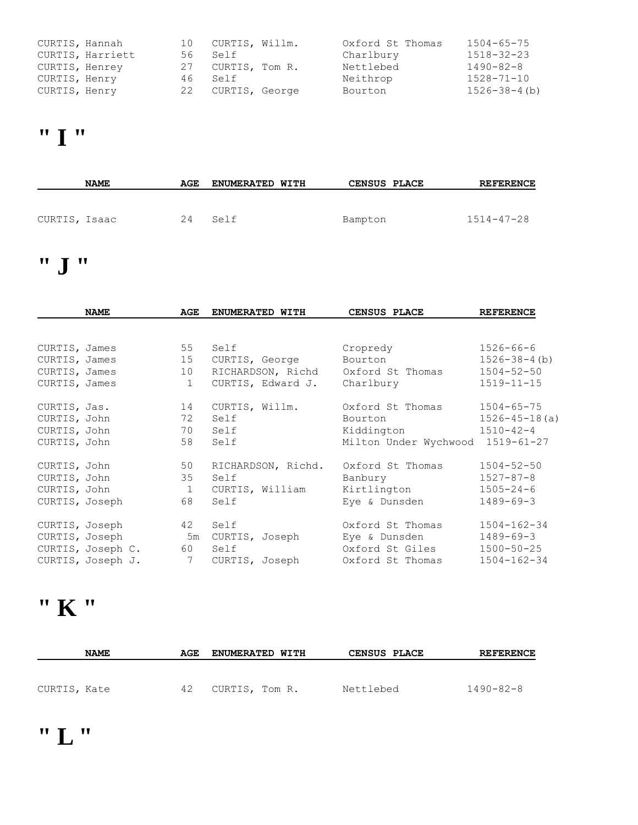| CURTIS, Hannah |                  | 10 CURTIS, Willm. | Oxford St Thomas | $1504 - 65 - 75$    |
|----------------|------------------|-------------------|------------------|---------------------|
|                | CURTIS, Harriett | 56 Self           | Charlbury        | $1518 - 32 - 23$    |
| CURTIS, Henrey |                  | 27 CURTIS, Tom R. | Nettlebed        | 1490-82-8           |
| CURTIS, Henry  |                  | 46 Self           | Neithrop         | $1528 - 71 - 10$    |
| CURTIS, Henry  |                  | 22 CURTIS, George | Bourton          | $1526 - 38 - 4$ (b) |

## **" I "**

|               | <b>NAME</b> | AGE | <b>ENUMERATED WITH</b> | <b>CENSUS PLACE</b> | <b>REFERENCE</b> |
|---------------|-------------|-----|------------------------|---------------------|------------------|
|               |             |     |                        |                     |                  |
| CURTIS, Isaac |             | 24  | Self                   | Bampton             | $1514 - 47 - 28$ |

# **" J "**

|               | <b>NAME</b>       | AGE            | ENUMERATED WITH    | CENSUS PLACE                     | <b>REFERENCE</b>    |
|---------------|-------------------|----------------|--------------------|----------------------------------|---------------------|
|               |                   |                |                    |                                  |                     |
| CURTIS, James |                   | 55             | Self               | Cropredy                         | $1526 - 66 - 6$     |
| CURTIS, James |                   | 15             | CURTIS, George     | Bourton                          | $1526 - 38 - 4$ (b) |
| CURTIS, James |                   | 10             | RICHARDSON, Richd  | Oxford St Thomas                 | $1504 - 52 - 50$    |
| CURTIS, James |                   | $\mathbf{1}$   | CURTIS, Edward J.  | Charlbury                        | $1519 - 11 - 15$    |
| CURTIS, Jas.  |                   | 14             | CURTIS, Willm.     | Oxford St Thomas                 | $1504 - 65 - 75$    |
| CURTIS, John  |                   | 72             | Self               | Bourton                          | $1526 - 45 - 18(a)$ |
| CURTIS, John  |                   | 70             | Self               | Kiddington                       | $1510 - 42 - 4$     |
|               |                   | 58             | Self               |                                  |                     |
| CURTIS, John  |                   |                |                    | Milton Under Wychwood 1519-61-27 |                     |
| CURTIS, John  |                   | 50             | RICHARDSON, Richd. | Oxford St Thomas                 | $1504 - 52 - 50$    |
| CURTIS, John  |                   | 35             | Self               | Banbury                          | $1527 - 87 - 8$     |
|               | CURTIS, John      |                | CURTIS, William    | Kirtlington                      | $1505 - 24 - 6$     |
|               | CURTIS, Joseph    | 68             | Self               | Eye & Dunsden                    | $1489 - 69 - 3$     |
|               | CURTIS, Joseph    | 42             | Self               | Oxford St Thomas                 | $1504 - 162 - 34$   |
|               | CURTIS, Joseph    |                | 5m CURTIS, Joseph  | Eye & Dunsden                    | $1489 - 69 - 3$     |
|               | CURTIS, Joseph C. | 60 —           | Self               | Oxford St Giles                  | $1500 - 50 - 25$    |
|               | CURTIS, Joseph J. | 7 <sup>7</sup> | CURTIS, Joseph     | Oxford St Thomas                 | $1504 - 162 - 34$   |
|               |                   |                |                    |                                  |                     |

#### **" K "**

| <b>NAME</b>  | AGE | <b>ENUMERATED WITH</b> | <b>CENSUS PLACE</b> | <b>REFERENCE</b> |
|--------------|-----|------------------------|---------------------|------------------|
|              |     |                        |                     |                  |
| CURTIS, Kate | 42  | CURTIS, Tom R.         | Nettlebed           | $1490 - 82 - 8$  |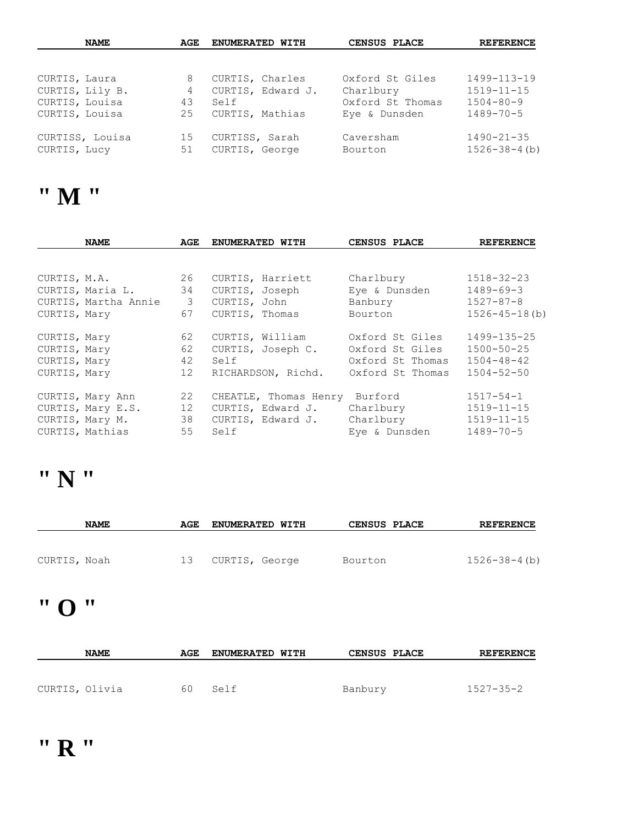| <b>NAME</b>     | AGE | ENUMERATED WITH   | CENSUS PLACE     | <b>REFERENCE</b>    |  |
|-----------------|-----|-------------------|------------------|---------------------|--|
|                 |     |                   |                  |                     |  |
| CURTIS, Laura   | 8   | CURTIS, Charles   | Oxford St Giles  | 1499-113-19         |  |
| CURTIS, Lily B. | 4   | CURTIS, Edward J. | Charlbury        | $1519 - 11 - 15$    |  |
| CURTIS, Louisa  | 43  | Self              | Oxford St Thomas | $1504 - 80 - 9$     |  |
| CURTIS, Louisa  | 25  | CURTIS, Mathias   | Eye & Dunsden    | $1489 - 70 - 5$     |  |
| CURTISS, Louisa | 15  | CURTISS, Sarah    | Caversham        | $1490 - 21 - 35$    |  |
| CURTIS, Lucy    | 51  | CURTIS, George    | Bourton          | $1526 - 38 - 4$ (b) |  |

#### **" M "**

|              | <b>NAME</b>          | AGE           | ENUMERATED WITH               | CENSUS PLACE     | <b>REFERENCE</b>    |
|--------------|----------------------|---------------|-------------------------------|------------------|---------------------|
|              |                      |               |                               |                  |                     |
|              | CURTIS, M.A.         | 26            | CURTIS, Harriett              | Charlbury        | $1518 - 32 - 23$    |
|              | CURTIS, Maria L.     | 34            | CURTIS, Joseph                | Eye & Dunsden    | $1489 - 69 - 3$     |
|              | CURTIS, Martha Annie | $\mathcal{S}$ | CURTIS, John                  | Banbury          | $1527 - 87 - 8$     |
| CURTIS, Mary |                      | 67            | CURTIS, Thomas                | Bourton          | $1526 - 45 - 18(b)$ |
| CURTIS, Mary |                      | 62            | CURTIS, William               | Oxford St Giles  | 1499-135-25         |
| CURTIS, Mary |                      | 62            | CURTIS, Joseph C.             | Oxford St Giles  | $1500 - 50 - 25$    |
| CURTIS, Mary |                      | 42            | Self                          | Oxford St Thomas | $1504 - 48 - 42$    |
| CURTIS, Mary |                      | 12            | RICHARDSON, Richd.            | Oxford St Thomas | $1504 - 52 - 50$    |
|              | CURTIS, Mary Ann     | 22            | CHEATLE, Thomas Henry Burford |                  | $1517 - 54 - 1$     |
|              | CURTIS, Mary E.S.    | 12            | CURTIS, Edward J.             | Charlbury        | $1519 - 11 - 15$    |
|              | CURTIS, Mary M.      | 38            | CURTIS, Edward J.             | Charlbury        | $1519 - 11 - 15$    |
|              | CURTIS, Mathias      | 55            | Self                          | Eye & Dunsden    | $1489 - 70 - 5$     |

## **" N "**

| <b>NAME</b>  | AGE | <b>ENUMERATED WITH</b> | <b>CENSUS PLACE</b> | <b>REFERENCE</b>   |
|--------------|-----|------------------------|---------------------|--------------------|
|              |     |                        |                     |                    |
| CURTIS, Noah | 13  | CURTIS, George         | Bourton             | $1526 - 38 - 4(b)$ |

# **" O "**

| <b>NAME</b>    | AGE | <b>ENUMERATED WITH</b> | <b>CENSUS PLACE</b> | <b>REFERENCE</b> |
|----------------|-----|------------------------|---------------------|------------------|
|                |     |                        |                     |                  |
| CURTIS, Olivia | 60  | Self                   | Banbury             | 1527-35-2        |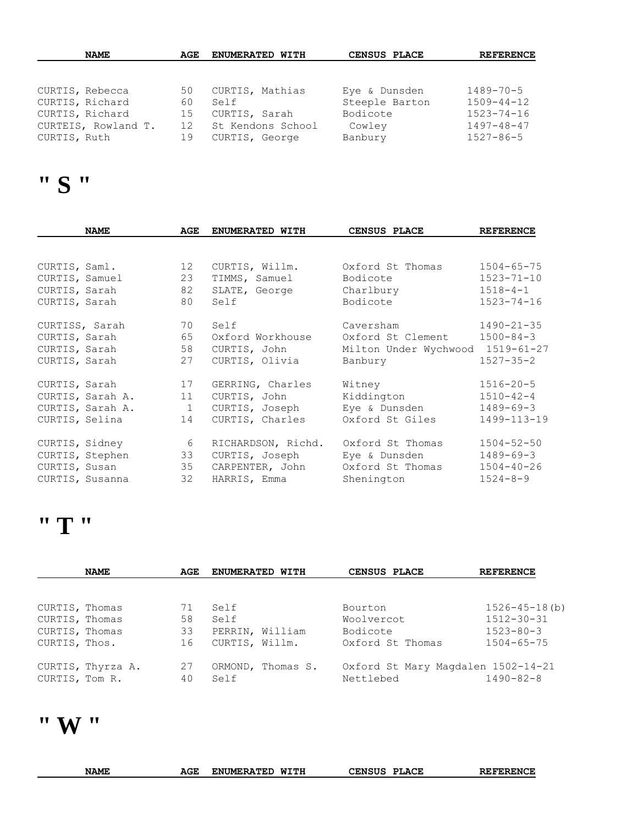| <b>NAME</b>         | AGE | <b>ENUMERATED WITH</b> | CENSUS PLACE   | <b>REFERENCE</b> |
|---------------------|-----|------------------------|----------------|------------------|
|                     |     |                        |                |                  |
|                     |     |                        |                |                  |
| CURTIS, Rebecca     | 50  | CURTIS, Mathias        | Eye & Dunsden  | $1489 - 70 - 5$  |
| CURTIS, Richard     | 60  | Self                   | Steeple Barton | $1509 - 44 - 12$ |
| CURTIS, Richard     | 15  | CURTIS, Sarah          | Bodicote       | $1523 - 74 - 16$ |
| CURTEIS, Rowland T. | 12  | St Kendons School      | Cowley         | $1497 - 48 - 47$ |
| CURTIS, Ruth        | 19  | CURTIS, George         | Banbury        | $1527 - 86 - 5$  |

# **" S "**

| <b>NAME</b>      | AGE      | ENUMERATED WITH    | CENSUS PLACE                     | <b>REFERENCE</b> |
|------------------|----------|--------------------|----------------------------------|------------------|
|                  |          |                    |                                  |                  |
| CURTIS, Saml.    | 12       | CURTIS, Willm.     | Oxford St Thomas                 | $1504 - 65 - 75$ |
| CURTIS, Samuel   | 23       | TIMMS, Samuel      | Bodicote                         | $1523 - 71 - 10$ |
| CURTIS, Sarah    | 82       | SLATE, George      | Charlbury                        | $1518 - 4 - 1$   |
| CURTIS, Sarah    | 80       | Self               | Bodicote                         | $1523 - 74 - 16$ |
| CURTISS, Sarah   | 70       | Self               | Caversham                        | $1490 - 21 - 35$ |
| CURTIS, Sarah    | 65       | Oxford Workhouse   | Oxford St Clement                | $1500 - 84 - 3$  |
| CURTIS, Sarah    | 58       | CURTIS, John       | Milton Under Wychwood 1519-61-27 |                  |
| CURTIS, Sarah    | 27       | CURTIS, Olivia     | Banbury                          | $1527 - 35 - 2$  |
| CURTIS, Sarah    | 17       | GERRING, Charles   | Witney                           | $1516 - 20 - 5$  |
| CURTIS, Sarah A. | 11       | CURTIS, John       | Kiddington                       | $1510 - 42 - 4$  |
| CURTIS, Sarah A. | $\sim$ 1 | CURTIS, Joseph     | Eye & Dunsden                    | $1489 - 69 - 3$  |
| CURTIS, Selina   | 14       | CURTIS, Charles    | Oxford St Giles                  | 1499-113-19      |
| CURTIS, Sidney   | 6        | RICHARDSON, Richd. | Oxford St Thomas                 | $1504 - 52 - 50$ |
| CURTIS, Stephen  | 33       | CURTIS, Joseph     | Eye & Dunsden                    | 1489-69-3        |
| CURTIS, Susan    | 35       | CARPENTER, John    | Oxford St Thomas                 | $1504 - 40 - 26$ |
| CURTIS, Susanna  | 32       | HARRIS, Emma       | Shenington                       | $1524 - 8 - 9$   |
|                  |          |                    |                                  |                  |

# **" T "**

|                | <b>NAME</b>       | AGE | ENUMERATED WITH      | CENSUS PLACE                       | <b>REFERENCE</b>    |
|----------------|-------------------|-----|----------------------|------------------------------------|---------------------|
|                |                   |     |                      |                                    |                     |
| CURTIS, Thomas |                   | 71  | Self                 | Bourton                            | $1526 - 45 - 18(b)$ |
| CURTIS, Thomas |                   | 58  | Self                 | Woolvercot                         | $1512 - 30 - 31$    |
| CURTIS, Thomas |                   | 33  | PERRIN, William      | Bodicote                           | $1523 - 80 - 3$     |
| CURTIS, Thos.  |                   | 16  | CURTIS, Willm.       | Oxford St Thomas                   | $1504 - 65 - 75$    |
|                |                   |     |                      |                                    |                     |
|                | CURTIS, Thyrza A. | 27  | Thomas S.<br>ORMOND, | Oxford St Mary Magdalen 1502-14-21 |                     |
| CURTIS, Tom R. |                   | 40  | Self                 | Nettlebed                          | $1490 - 82 - 8$     |



| <b>NAME</b> | AGF | <b>ENUMERATED</b> | WITH | CENSUS | <b>PLACE</b> | <b>REFERENCE</b> |
|-------------|-----|-------------------|------|--------|--------------|------------------|
|-------------|-----|-------------------|------|--------|--------------|------------------|